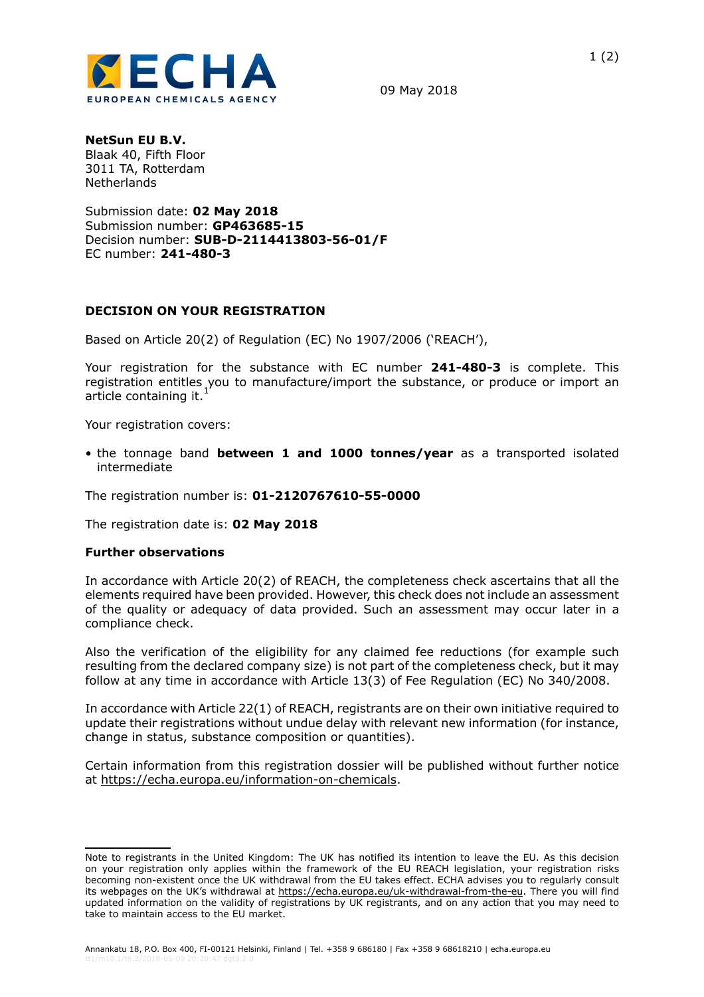

09 May 2018

1 (2)

**NetSun EU B.V.**  Blaak 40, Fifth Floor 3011 TA, Rotterdam **Netherlands** 

Submission date: **02 May 2018** Submission number: **GP463685-15** Decision number: **SUB-D-2114413803-56-01/F** EC number: **241-480-3**

## **DECISION ON YOUR REGISTRATION**

Based on Article 20(2) of Regulation (EC) No 1907/2006 ('REACH'),

Your registration for the substance with EC number **241-480-3** is complete. This registration entitles you to manufacture/import the substance, or produce or import an article containing it.<sup>1</sup>

Your registration covers:

• the tonnage band **between 1 and 1000 tonnes/year** as a transported isolated intermediate

The registration number is: **01-2120767610-55-0000**

The registration date is: **02 May 2018**

## **Further observations**

In accordance with Article 20(2) of REACH, the completeness check ascertains that all the elements required have been provided. However, this check does not include an assessment of the quality or adequacy of data provided. Such an assessment may occur later in a compliance check.

Also the verification of the eligibility for any claimed fee reductions (for example such resulting from the declared company size) is not part of the completeness check, but it may follow at any time in accordance with Article 13(3) of Fee Regulation (EC) No 340/2008.

In accordance with Article 22(1) of REACH, registrants are on their own initiative required to update their registrations without undue delay with relevant new information (for instance, change in status, substance composition or quantities).

Certain information from this registration dossier will be published without further notice at<https://echa.europa.eu/information-on-chemicals>.

Note to registrants in the United Kingdom: The UK has notified its intention to leave the EU. As this decision on your registration only applies within the framework of the EU REACH legislation, your registration risks becoming non-existent once the UK withdrawal from the EU takes effect. ECHA advises you to regularly consult its webpages on the UK's withdrawal at<https://echa.europa.eu/uk-withdrawal-from-the-eu>. There you will find updated information on the validity of registrations by UK registrants, and on any action that you may need to take to maintain access to the EU market.